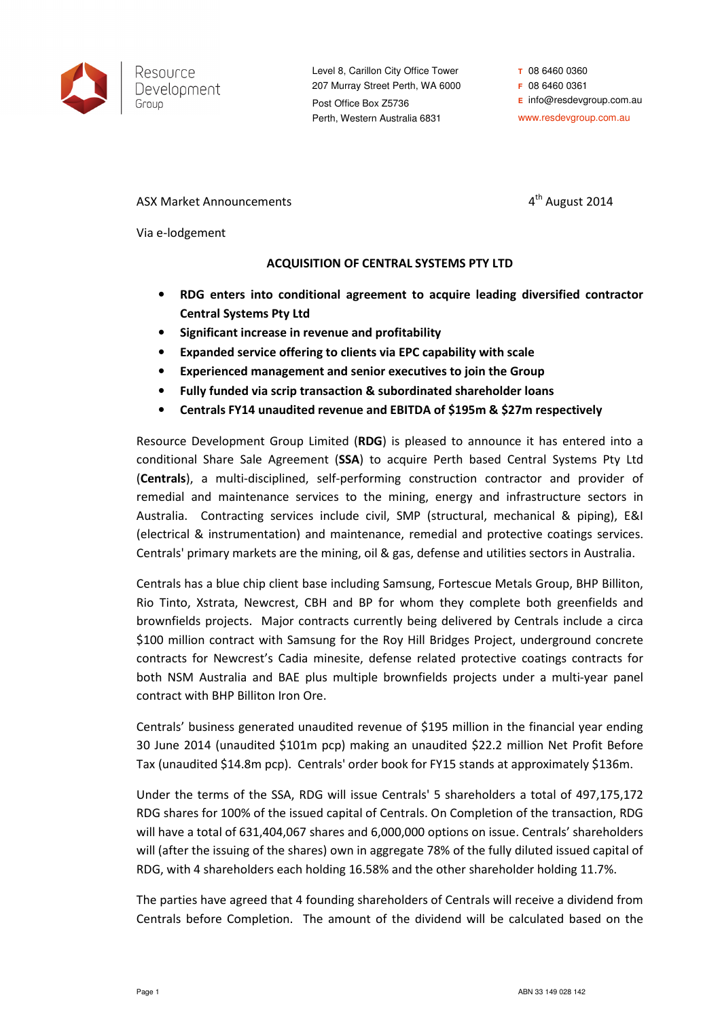

Level 8, Carillon City Office Tower 207 Murray Street Perth, WA 6000 Post Office Box Z5736 Perth, Western Australia 6831

**T** 08 6460 0360 **F** 08 6460 0361 **E** info@resdevgroup.com.au www.resdevgroup.com.au

ASX Market Announcements and a structure of the August 2014

Via e-lodgement

# ACQUISITION OF CENTRAL SYSTEMS PTY LTD

- RDG enters into conditional agreement to acquire leading diversified contractor Central Systems Pty Ltd
- Significant increase in revenue and profitability
- Expanded service offering to clients via EPC capability with scale
- Experienced management and senior executives to join the Group
- Fully funded via scrip transaction & subordinated shareholder loans
- Centrals FY14 unaudited revenue and EBITDA of \$195m & \$27m respectively

Resource Development Group Limited (RDG) is pleased to announce it has entered into a conditional Share Sale Agreement (SSA) to acquire Perth based Central Systems Pty Ltd (Centrals), a multi-disciplined, self-performing construction contractor and provider of remedial and maintenance services to the mining, energy and infrastructure sectors in Australia. Contracting services include civil, SMP (structural, mechanical & piping), E&I (electrical & instrumentation) and maintenance, remedial and protective coatings services. Centrals' primary markets are the mining, oil & gas, defense and utilities sectors in Australia.

Centrals has a blue chip client base including Samsung, Fortescue Metals Group, BHP Billiton, Rio Tinto, Xstrata, Newcrest, CBH and BP for whom they complete both greenfields and brownfields projects. Major contracts currently being delivered by Centrals include a circa \$100 million contract with Samsung for the Roy Hill Bridges Project, underground concrete contracts for Newcrest's Cadia minesite, defense related protective coatings contracts for both NSM Australia and BAE plus multiple brownfields projects under a multi-year panel contract with BHP Billiton Iron Ore.

Centrals' business generated unaudited revenue of \$195 million in the financial year ending 30 June 2014 (unaudited \$101m pcp) making an unaudited \$22.2 million Net Profit Before Tax (unaudited \$14.8m pcp). Centrals' order book for FY15 stands at approximately \$136m.

Under the terms of the SSA, RDG will issue Centrals' 5 shareholders a total of 497,175,172 RDG shares for 100% of the issued capital of Centrals. On Completion of the transaction, RDG will have a total of 631,404,067 shares and 6,000,000 options on issue. Centrals' shareholders will (after the issuing of the shares) own in aggregate 78% of the fully diluted issued capital of RDG, with 4 shareholders each holding 16.58% and the other shareholder holding 11.7%.

The parties have agreed that 4 founding shareholders of Centrals will receive a dividend from Centrals before Completion. The amount of the dividend will be calculated based on the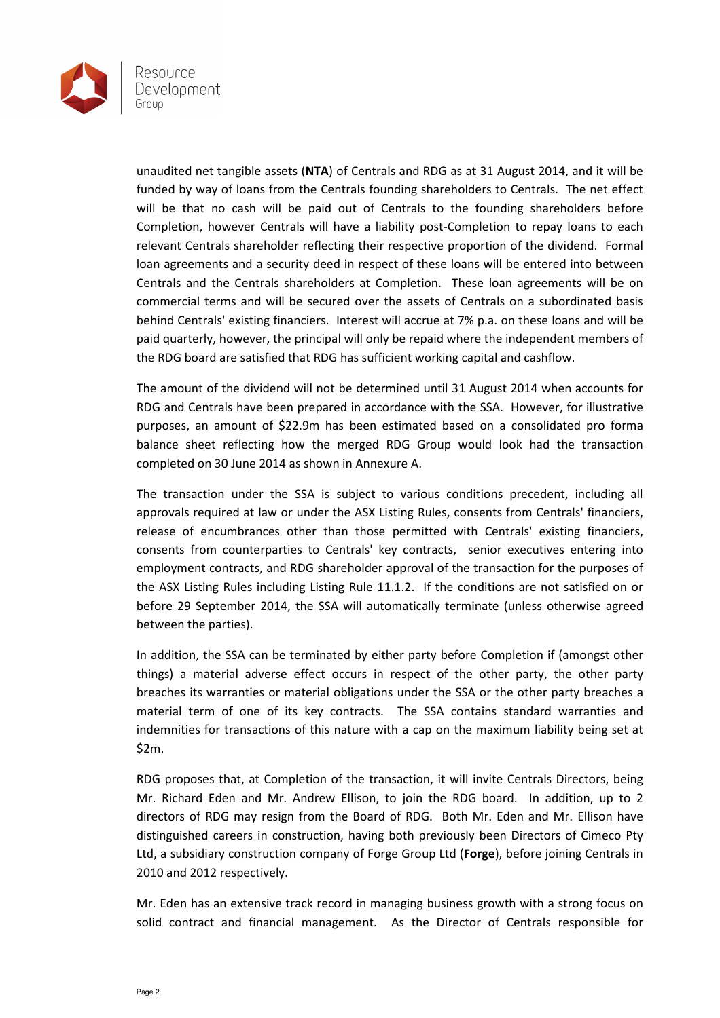

unaudited net tangible assets (NTA) of Centrals and RDG as at 31 August 2014, and it will be funded by way of loans from the Centrals founding shareholders to Centrals. The net effect will be that no cash will be paid out of Centrals to the founding shareholders before Completion, however Centrals will have a liability post-Completion to repay loans to each relevant Centrals shareholder reflecting their respective proportion of the dividend. Formal loan agreements and a security deed in respect of these loans will be entered into between Centrals and the Centrals shareholders at Completion. These loan agreements will be on commercial terms and will be secured over the assets of Centrals on a subordinated basis behind Centrals' existing financiers. Interest will accrue at 7% p.a. on these loans and will be paid quarterly, however, the principal will only be repaid where the independent members of the RDG board are satisfied that RDG has sufficient working capital and cashflow.

The amount of the dividend will not be determined until 31 August 2014 when accounts for RDG and Centrals have been prepared in accordance with the SSA. However, for illustrative purposes, an amount of \$22.9m has been estimated based on a consolidated pro forma balance sheet reflecting how the merged RDG Group would look had the transaction completed on 30 June 2014 as shown in Annexure A.

The transaction under the SSA is subject to various conditions precedent, including all approvals required at law or under the ASX Listing Rules, consents from Centrals' financiers, release of encumbrances other than those permitted with Centrals' existing financiers, consents from counterparties to Centrals' key contracts, senior executives entering into employment contracts, and RDG shareholder approval of the transaction for the purposes of the ASX Listing Rules including Listing Rule 11.1.2. If the conditions are not satisfied on or before 29 September 2014, the SSA will automatically terminate (unless otherwise agreed between the parties).

In addition, the SSA can be terminated by either party before Completion if (amongst other things) a material adverse effect occurs in respect of the other party, the other party breaches its warranties or material obligations under the SSA or the other party breaches a material term of one of its key contracts. The SSA contains standard warranties and indemnities for transactions of this nature with a cap on the maximum liability being set at \$2m.

RDG proposes that, at Completion of the transaction, it will invite Centrals Directors, being Mr. Richard Eden and Mr. Andrew Ellison, to join the RDG board. In addition, up to 2 directors of RDG may resign from the Board of RDG. Both Mr. Eden and Mr. Ellison have distinguished careers in construction, having both previously been Directors of Cimeco Pty Ltd, a subsidiary construction company of Forge Group Ltd (Forge), before joining Centrals in 2010 and 2012 respectively.

Mr. Eden has an extensive track record in managing business growth with a strong focus on solid contract and financial management. As the Director of Centrals responsible for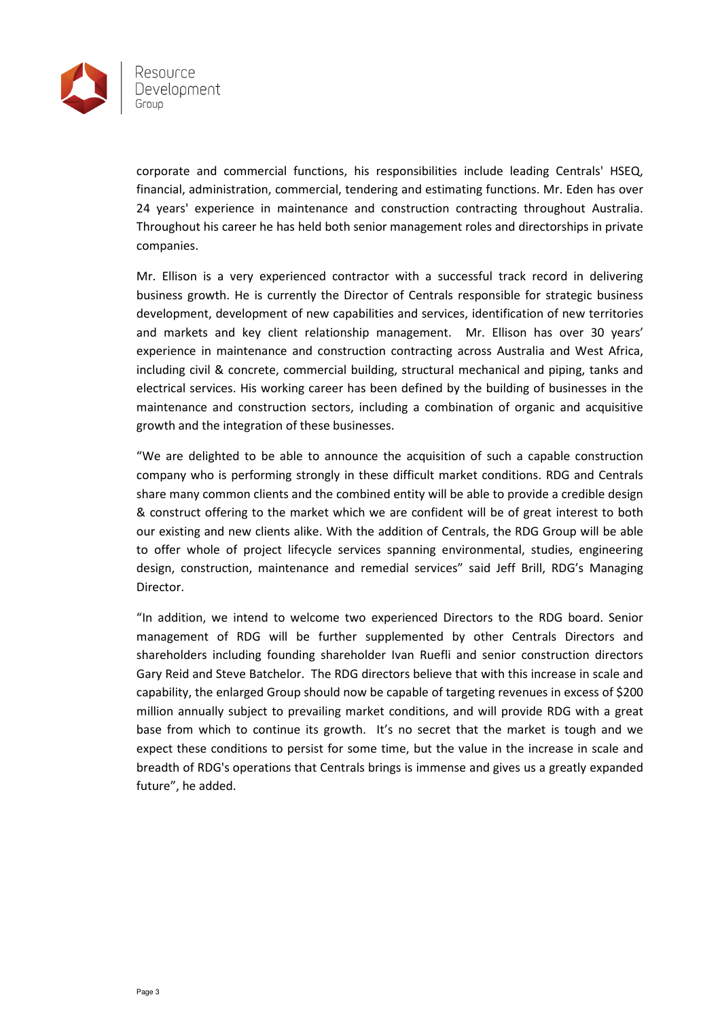

corporate and commercial functions, his responsibilities include leading Centrals' HSEQ, financial, administration, commercial, tendering and estimating functions. Mr. Eden has over 24 years' experience in maintenance and construction contracting throughout Australia. Throughout his career he has held both senior management roles and directorships in private companies.

Mr. Ellison is a very experienced contractor with a successful track record in delivering business growth. He is currently the Director of Centrals responsible for strategic business development, development of new capabilities and services, identification of new territories and markets and key client relationship management. Mr. Ellison has over 30 years' experience in maintenance and construction contracting across Australia and West Africa, including civil & concrete, commercial building, structural mechanical and piping, tanks and electrical services. His working career has been defined by the building of businesses in the maintenance and construction sectors, including a combination of organic and acquisitive growth and the integration of these businesses.

"We are delighted to be able to announce the acquisition of such a capable construction company who is performing strongly in these difficult market conditions. RDG and Centrals share many common clients and the combined entity will be able to provide a credible design & construct offering to the market which we are confident will be of great interest to both our existing and new clients alike. With the addition of Centrals, the RDG Group will be able to offer whole of project lifecycle services spanning environmental, studies, engineering design, construction, maintenance and remedial services" said Jeff Brill, RDG's Managing Director.

"In addition, we intend to welcome two experienced Directors to the RDG board. Senior management of RDG will be further supplemented by other Centrals Directors and shareholders including founding shareholder Ivan Ruefli and senior construction directors Gary Reid and Steve Batchelor. The RDG directors believe that with this increase in scale and capability, the enlarged Group should now be capable of targeting revenues in excess of \$200 million annually subject to prevailing market conditions, and will provide RDG with a great base from which to continue its growth. It's no secret that the market is tough and we expect these conditions to persist for some time, but the value in the increase in scale and breadth of RDG's operations that Centrals brings is immense and gives us a greatly expanded future", he added.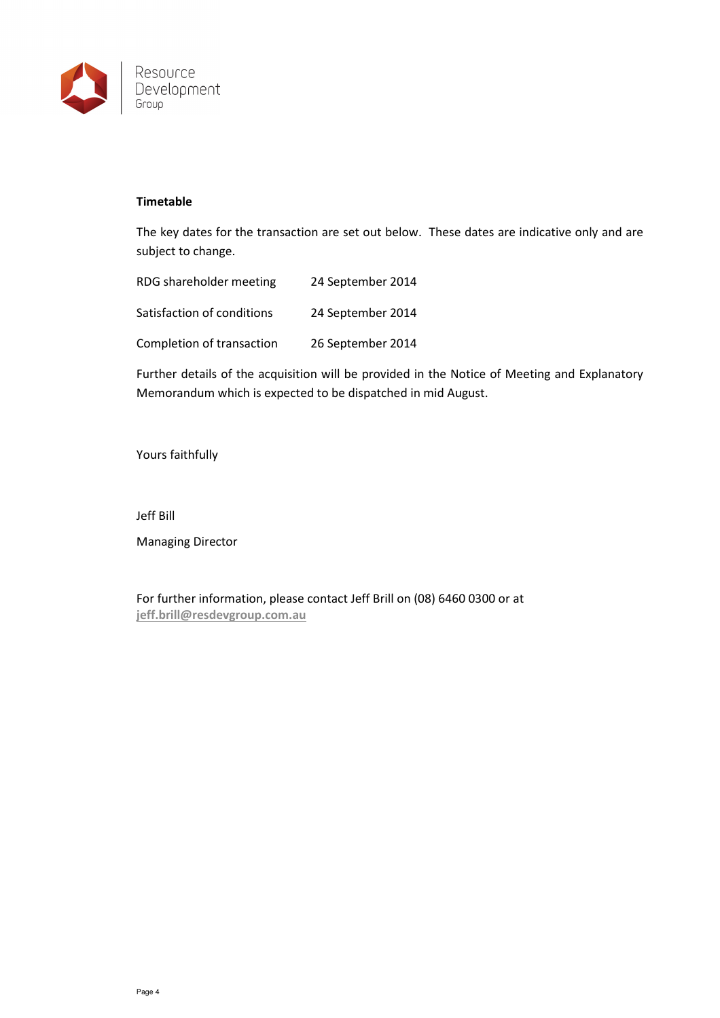

## Timetable

The key dates for the transaction are set out below. These dates are indicative only and are subject to change.

| RDG shareholder meeting    | 24 September 2014 |
|----------------------------|-------------------|
| Satisfaction of conditions | 24 September 2014 |
| Completion of transaction  | 26 September 2014 |

Further details of the acquisition will be provided in the Notice of Meeting and Explanatory Memorandum which is expected to be dispatched in mid August.

Yours faithfully

Jeff Bill

Managing Director

For further information, please contact Jeff Brill on (08) 6460 0300 or at jeff.brill@resdevgroup.com.au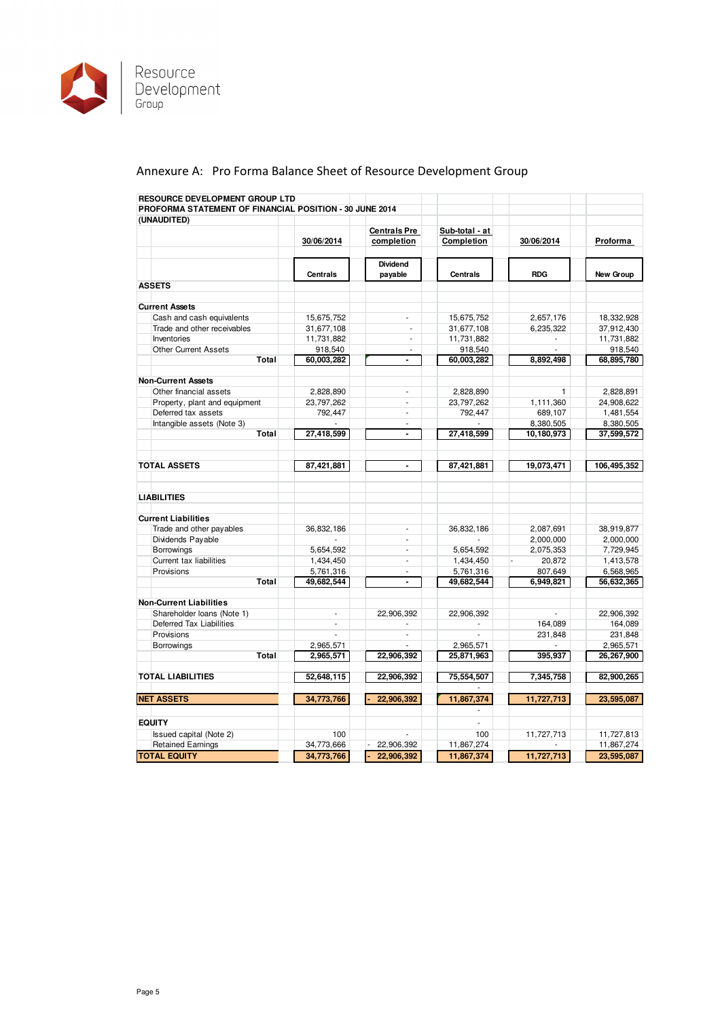

# Annexure A: Pro Forma Balance Sheet of Resource Development Group

| RESOURCE DEVELOPMENT GROUP LTD                          |                 |                          |                 |            |             |
|---------------------------------------------------------|-----------------|--------------------------|-----------------|------------|-------------|
| PROFORMA STATEMENT OF FINANCIAL POSITION - 30 JUNE 2014 |                 |                          |                 |            |             |
| (UNAUDITED)                                             |                 |                          |                 |            |             |
|                                                         |                 | <b>Centrals Pre</b>      | Sub-total - at  |            |             |
|                                                         | 30/06/2014      | completion               | Completion      | 30/06/2014 | Proforma    |
|                                                         |                 | <b>Dividend</b>          |                 |            |             |
|                                                         | <b>Centrals</b> | payable                  | <b>Centrals</b> | <b>RDG</b> | New Group   |
| <b>ASSETS</b>                                           |                 |                          |                 |            |             |
|                                                         |                 |                          |                 |            |             |
| <b>Current Assets</b>                                   |                 |                          |                 |            |             |
| Cash and cash equivalents                               | 15,675,752      |                          | 15,675,752      | 2,657,176  | 18,332,928  |
| Trade and other receivables                             | 31,677,108      | ÷.                       | 31,677,108      | 6,235,322  | 37,912,430  |
| Inventories                                             | 11,731,882      | ä,                       | 11,731,882      |            | 11,731,882  |
| <b>Other Current Assets</b>                             | 918,540         | $\overline{\phantom{a}}$ | 918,540         |            | 918,540     |
| Total                                                   | 60,003,282      | $\blacksquare$           | 60,003,282      | 8,892,498  | 68,895,780  |
| <b>Non-Current Assets</b>                               |                 |                          |                 |            |             |
| Other financial assets                                  | 2,828,890       | $\overline{\phantom{a}}$ | 2,828,890       | 1          | 2,828,891   |
| Property, plant and equipment                           | 23,797,262      | ÷.                       | 23,797,262      | 1,111,360  | 24,908,622  |
| Deferred tax assets                                     | 792,447         | ÷.                       | 792,447         | 689,107    | 1,481,554   |
| Intangible assets (Note 3)                              | ä,              | $\sim$                   | ä,              | 8,380,505  | 8,380,505   |
| Total                                                   | 27,418,599      | $\blacksquare$           | 27,418,599      | 10,180,973 | 37,599,572  |
|                                                         |                 |                          |                 |            |             |
| <b>TOTAL ASSETS</b>                                     | 87,421,881      | $\blacksquare$           | 87.421.881      | 19,073,471 | 106.495.352 |
| <b>LIABILITIES</b>                                      |                 |                          |                 |            |             |
| <b>Current Liabilities</b>                              |                 |                          |                 |            |             |
| Trade and other payables                                | 36.832.186      | ä,                       | 36.832.186      | 2,087,691  | 38,919,877  |
| Dividends Payable                                       |                 | ÷                        | ÷               | 2,000,000  | 2,000,000   |
| Borrowings                                              | 5,654,592       | ä,                       | 5,654,592       | 2,075,353  | 7,729,945   |
| Current tax liabilities                                 | 1,434,450       | ä,                       | 1,434,450       | 20,872     | 1,413,578   |
| Provisions                                              | 5,761,316       | ä,                       | 5,761,316       | 807,649    | 6,568,965   |
| Total                                                   | 49,682,544      | $\blacksquare$           | 49,682,544      | 6,949,821  | 56,632,365  |
|                                                         |                 |                          |                 |            |             |
| <b>Non-Current Liabilities</b>                          |                 |                          |                 |            |             |
| Shareholder Ioans (Note 1)                              | ÷,              | 22,906,392               | 22,906,392      |            | 22,906,392  |
| Deferred Tax Liabilities                                | ä,              |                          | ÷,              | 164,089    | 164,089     |
| Provisions                                              |                 | ÷,                       |                 | 231,848    | 231,848     |
| Borrowings                                              | 2,965,571       |                          | 2,965,571       |            | 2,965,571   |
| Total                                                   | 2,965,571       | 22,906,392               | 25,871,963      | 395,937    | 26,267,900  |
| <b>TOTAL LIABILITIES</b>                                | 52,648,115      | 22,906,392               | 75,554,507      | 7,345,758  | 82,900,265  |
|                                                         |                 |                          |                 |            |             |
| <b>NET ASSETS</b>                                       | 34,773,766      | 22,906,392               | 11,867,374      | 11,727,713 | 23,595,087  |
| <b>EQUITY</b>                                           |                 |                          | L.              |            |             |
| Issued capital (Note 2)                                 | 100             |                          | 100             | 11,727,713 | 11,727,813  |
| <b>Retained Earnings</b>                                | 34,773,666      | 22,906,392               | 11,867,274      |            | 11,867,274  |
| <b>TOTAL EQUITY</b>                                     | 34,773,766      | 22.906.392               | 11.867.374      | 11.727.713 | 23,595,087  |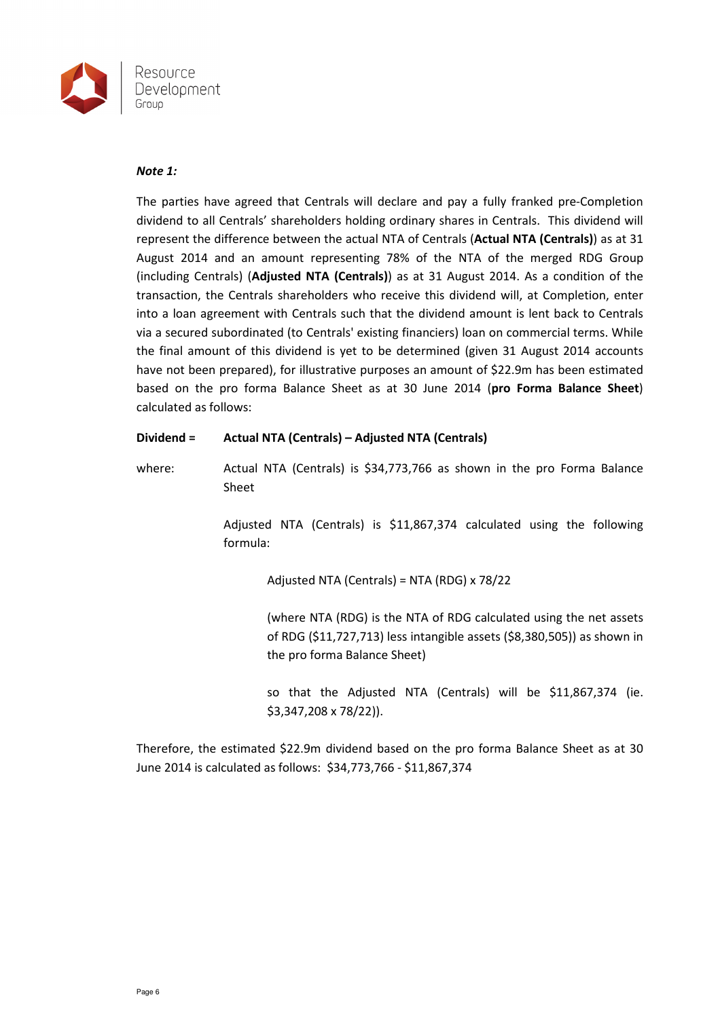

#### Note 1:

The parties have agreed that Centrals will declare and pay a fully franked pre-Completion dividend to all Centrals' shareholders holding ordinary shares in Centrals. This dividend will represent the difference between the actual NTA of Centrals (Actual NTA (Centrals)) as at 31 August 2014 and an amount representing 78% of the NTA of the merged RDG Group (including Centrals) (Adjusted NTA (Centrals)) as at 31 August 2014. As a condition of the transaction, the Centrals shareholders who receive this dividend will, at Completion, enter into a loan agreement with Centrals such that the dividend amount is lent back to Centrals via a secured subordinated (to Centrals' existing financiers) loan on commercial terms. While the final amount of this dividend is yet to be determined (given 31 August 2014 accounts have not been prepared), for illustrative purposes an amount of \$22.9m has been estimated based on the pro forma Balance Sheet as at 30 June 2014 (pro Forma Balance Sheet) calculated as follows:

## Dividend = Actual NTA (Centrals) – Adjusted NTA (Centrals)

where: Actual NTA (Centrals) is \$34,773,766 as shown in the pro Forma Balance Sheet

> Adjusted NTA (Centrals) is \$11,867,374 calculated using the following formula:

> > Adjusted NTA (Centrals) = NTA (RDG) x 78/22

(where NTA (RDG) is the NTA of RDG calculated using the net assets of RDG (\$11,727,713) less intangible assets (\$8,380,505)) as shown in the pro forma Balance Sheet)

so that the Adjusted NTA (Centrals) will be \$11,867,374 (ie. \$3,347,208 x 78/22)).

Therefore, the estimated \$22.9m dividend based on the pro forma Balance Sheet as at 30 June 2014 is calculated as follows: \$34,773,766 - \$11,867,374